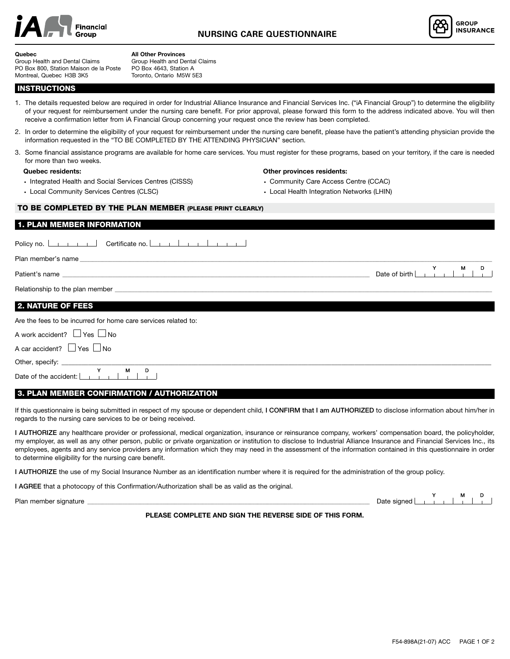



#### **Quebec**

Group Health and Dental Claims PO Box 800, Station Maison de la Poste Montreal, Quebec H3B 3K5

**All Other Provinces** Group Health and Dental Claims PO Box 4643, Station A Toronto, Ontario M5W 5E3

**INSTRUCTIONS** 

1. The details requested below are required in order for Industrial Alliance Insurance and Financial Services Inc. ("iA Financial Group") to determine the eligibility of your request for reimbursement under the nursing care benefit. For prior approval, please forward this form to the address indicated above. You will then receive a confirmation letter from iA Financial Group concerning your request once the review has been completed.

- 2. In order to determine the eligibility of your request for reimbursement under the nursing care benefit, please have the patient's attending physician provide the information requested in the "TO BE COMPLETED BY THE ATTENDING PHYSICIAN" section.
- 3. Some financial assistance programs are available for home care services. You must register for these programs, based on your territory, if the care is needed for more than two weeks.

#### **Quebec residents:**

- Integrated Health and Social Services Centres (CISSS)
- Local Community Services Centres (CLSC)

#### **Other provinces residents:**

- Community Care Access Centre (CCAC)
- Local Health Integration Networks (LHIN)

# TO BE COMPLETED BY THE PLAN MEMBER (PLEASE PRINT CLEARLY)

### 1. PLAN MEMBER INFORMATION

| Policy no. <u>Letter that and Certificate no.</u> Letter Letter Letter Letter Letter |                                                                                                                                   |
|--------------------------------------------------------------------------------------|-----------------------------------------------------------------------------------------------------------------------------------|
|                                                                                      |                                                                                                                                   |
|                                                                                      | $\begin{array}{c c} \mathsf{M} & \mathsf{D} \\ \hline \end{array}$<br>Date of birth $\boxed{\phantom{a} \phantom{a} \phantom{a}}$ |
|                                                                                      |                                                                                                                                   |
| <b>2. NATURE OF FEES</b>                                                             |                                                                                                                                   |
| Are the fees to be incurred for home care services related to:                       |                                                                                                                                   |
| A work accident? $\Box$ Yes $\Box$ No                                                |                                                                                                                                   |
| A car accident? $\Box$ Yes $\Box$ No                                                 |                                                                                                                                   |
|                                                                                      |                                                                                                                                   |
| D<br>M<br>Date of the accident:                                                      |                                                                                                                                   |

# 3. PLAN MEMBER CONFIRMATION / AUTHORIZATION

If this questionnaire is being submitted in respect of my spouse or dependent child, I CONFIRM that I am AUTHORIZED to disclose information about him/her in regards to the nursing care services to be or being received.

I AUTHORIZE any healthcare provider or professional, medical organization, insurance or reinsurance company, workers' compensation board, the policyholder, my employer, as well as any other person, public or private organization or institution to disclose to Industrial Alliance Insurance and Financial Services Inc., its employees, agents and any service providers any information which they may need in the assessment of the information contained in this questionnaire in order to determine eligibility for the nursing care benefit.

I AUTHORIZE the use of my Social Insurance Number as an identification number where it is required for the administration of the group policy.

I AGREE that a photocopy of this Confirmation/Authorization shall be as valid as the original.

Plan member signature \_\_\_\_\_\_\_\_\_\_\_\_\_\_\_\_\_\_\_\_\_\_\_\_\_\_\_\_\_\_\_\_\_\_\_\_\_\_\_\_\_\_\_\_\_\_\_\_\_\_\_\_\_\_\_\_\_\_\_\_\_\_\_\_\_\_\_\_\_\_\_\_\_\_\_\_\_\_\_\_\_\_\_\_\_\_\_\_\_\_\_\_\_\_\_\_\_\_\_\_\_\_\_\_\_\_\_\_\_\_\_\_\_ Date signed <sup>Y</sup> <sup>M</sup> <sup>D</sup>

**PLEASE COMPLETE AND SIGN THE REVERSE SIDE OF THIS FORM.**